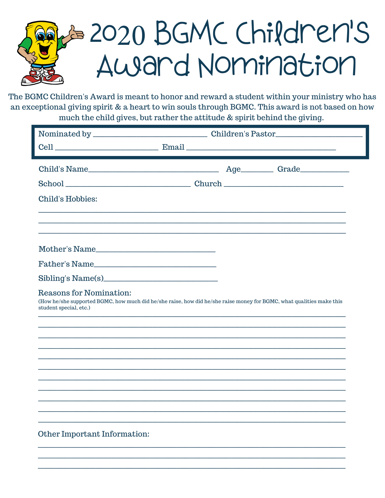## B 2020 BGMC Children's Award Nomination

The BGMC Children's Award is meant to honor and reward a student within your ministry who has an exceptional giving spirit & a heart to win souls through BGMC. This award is not based on how much the child gives, but rather the attitude & spirit behind the giving.

| Child's Name                                                                                                                                                              |  |
|---------------------------------------------------------------------------------------------------------------------------------------------------------------------------|--|
|                                                                                                                                                                           |  |
|                                                                                                                                                                           |  |
| <b>Child's Hobbies:</b>                                                                                                                                                   |  |
|                                                                                                                                                                           |  |
|                                                                                                                                                                           |  |
|                                                                                                                                                                           |  |
| Mother's Name                                                                                                                                                             |  |
| Father's Name                                                                                                                                                             |  |
|                                                                                                                                                                           |  |
| Reasons for Nomination:<br>(How he/she supported BGMC, how much did he/she raise, how did he/she raise money for BGMC, what qualities make this<br>student special, etc.) |  |
|                                                                                                                                                                           |  |
|                                                                                                                                                                           |  |
|                                                                                                                                                                           |  |
|                                                                                                                                                                           |  |
|                                                                                                                                                                           |  |
|                                                                                                                                                                           |  |
|                                                                                                                                                                           |  |
|                                                                                                                                                                           |  |
|                                                                                                                                                                           |  |
| Other Important Information:                                                                                                                                              |  |
|                                                                                                                                                                           |  |